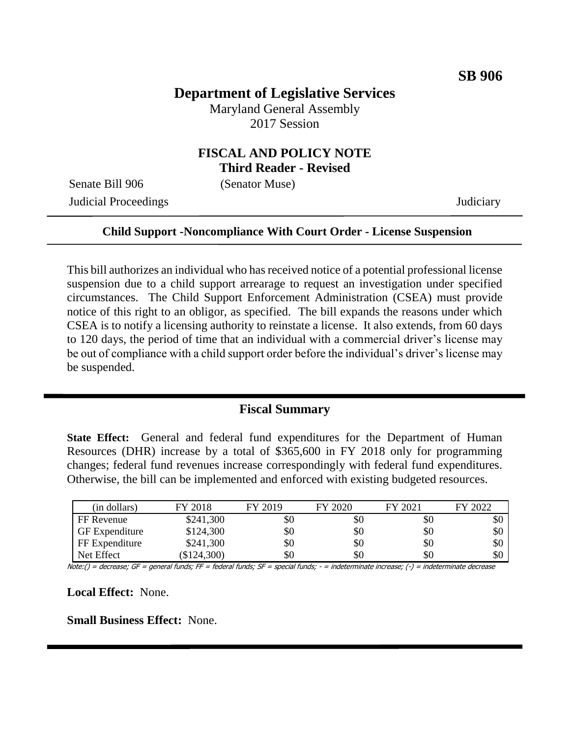# **Department of Legislative Services**

Maryland General Assembly 2017 Session

### **FISCAL AND POLICY NOTE Third Reader - Revised**

Senate Bill 906 (Senator Muse) Judicial Proceedings Judiciary

#### **Child Support -Noncompliance With Court Order - License Suspension**

This bill authorizes an individual who has received notice of a potential professional license suspension due to a child support arrearage to request an investigation under specified circumstances. The Child Support Enforcement Administration (CSEA) must provide notice of this right to an obligor, as specified. The bill expands the reasons under which CSEA is to notify a licensing authority to reinstate a license. It also extends, from 60 days to 120 days, the period of time that an individual with a commercial driver's license may be out of compliance with a child support order before the individual's driver's license may be suspended.

### **Fiscal Summary**

**State Effect:** General and federal fund expenditures for the Department of Human Resources (DHR) increase by a total of \$365,600 in FY 2018 only for programming changes; federal fund revenues increase correspondingly with federal fund expenditures. Otherwise, the bill can be implemented and enforced with existing budgeted resources.

| (in dollars)          | FY 2018   | FY 2019 | FY 2020 | FY 2021 | FY 2022 |
|-----------------------|-----------|---------|---------|---------|---------|
| FF Revenue            | \$241,300 | \$0     | \$0     | УU      | УC      |
| <b>GF</b> Expenditure | \$124,300 | \$0     | \$0     | \$0     | \$0     |
| FF Expenditure        | \$241,300 | \$0     | \$0     | \$0     | \$0     |
| Net Effect            | \$124,300 | \$0     | \$0     | \$0     | \$0     |

Note:() = decrease; GF = general funds; FF = federal funds; SF = special funds; - = indeterminate increase; (-) = indeterminate decrease

**Local Effect:** None.

**Small Business Effect:** None.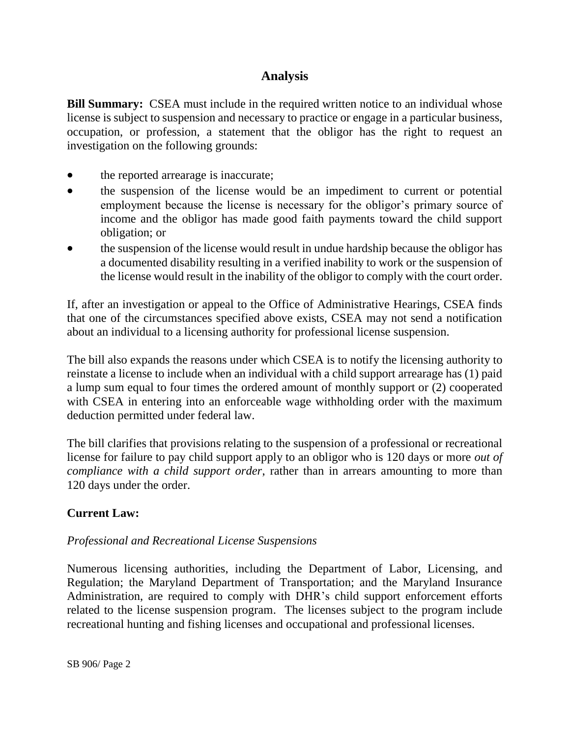# **Analysis**

**Bill Summary:** CSEA must include in the required written notice to an individual whose license is subject to suspension and necessary to practice or engage in a particular business, occupation, or profession, a statement that the obligor has the right to request an investigation on the following grounds:

- the reported arrearage is inaccurate;
- the suspension of the license would be an impediment to current or potential employment because the license is necessary for the obligor's primary source of income and the obligor has made good faith payments toward the child support obligation; or
- the suspension of the license would result in undue hardship because the obligor has a documented disability resulting in a verified inability to work or the suspension of the license would result in the inability of the obligor to comply with the court order.

If, after an investigation or appeal to the Office of Administrative Hearings, CSEA finds that one of the circumstances specified above exists, CSEA may not send a notification about an individual to a licensing authority for professional license suspension.

The bill also expands the reasons under which CSEA is to notify the licensing authority to reinstate a license to include when an individual with a child support arrearage has (1) paid a lump sum equal to four times the ordered amount of monthly support or (2) cooperated with CSEA in entering into an enforceable wage withholding order with the maximum deduction permitted under federal law.

The bill clarifies that provisions relating to the suspension of a professional or recreational license for failure to pay child support apply to an obligor who is 120 days or more *out of compliance with a child support order*, rather than in arrears amounting to more than 120 days under the order.

## **Current Law:**

### *Professional and Recreational License Suspensions*

Numerous licensing authorities, including the Department of Labor, Licensing, and Regulation; the Maryland Department of Transportation; and the Maryland Insurance Administration, are required to comply with DHR's child support enforcement efforts related to the license suspension program. The licenses subject to the program include recreational hunting and fishing licenses and occupational and professional licenses.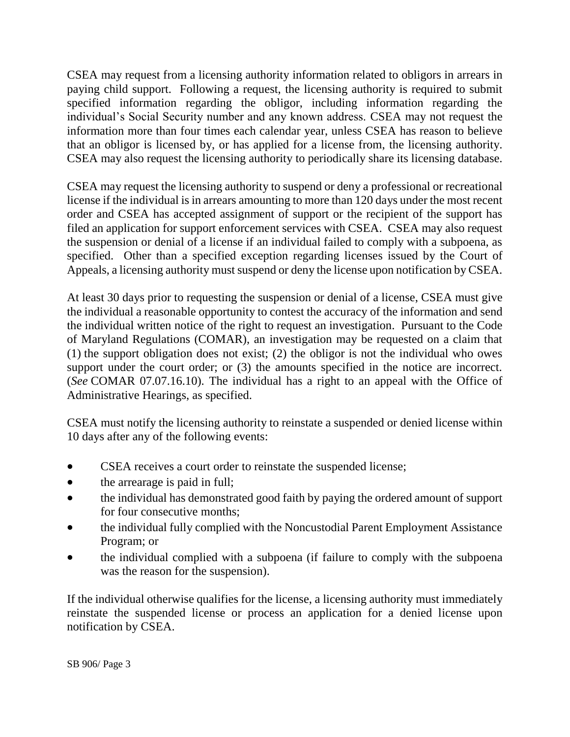CSEA may request from a licensing authority information related to obligors in arrears in paying child support. Following a request, the licensing authority is required to submit specified information regarding the obligor, including information regarding the individual's Social Security number and any known address. CSEA may not request the information more than four times each calendar year, unless CSEA has reason to believe that an obligor is licensed by, or has applied for a license from, the licensing authority. CSEA may also request the licensing authority to periodically share its licensing database.

CSEA may request the licensing authority to suspend or deny a professional or recreational license if the individual is in arrears amounting to more than 120 days under the most recent order and CSEA has accepted assignment of support or the recipient of the support has filed an application for support enforcement services with CSEA. CSEA may also request the suspension or denial of a license if an individual failed to comply with a subpoena, as specified. Other than a specified exception regarding licenses issued by the Court of Appeals, a licensing authority must suspend or deny the license upon notification by CSEA.

At least 30 days prior to requesting the suspension or denial of a license, CSEA must give the individual a reasonable opportunity to contest the accuracy of the information and send the individual written notice of the right to request an investigation. Pursuant to the Code of Maryland Regulations (COMAR), an investigation may be requested on a claim that (1) the support obligation does not exist; (2) the obligor is not the individual who owes support under the court order; or  $(3)$  the amounts specified in the notice are incorrect. (*See* COMAR 07.07.16.10). The individual has a right to an appeal with the Office of Administrative Hearings, as specified.

CSEA must notify the licensing authority to reinstate a suspended or denied license within 10 days after any of the following events:

- CSEA receives a court order to reinstate the suspended license;
- the arrearage is paid in full;
- the individual has demonstrated good faith by paying the ordered amount of support for four consecutive months;
- the individual fully complied with the Noncustodial Parent Employment Assistance Program; or
- the individual complied with a subpoena (if failure to comply with the subpoena was the reason for the suspension).

If the individual otherwise qualifies for the license, a licensing authority must immediately reinstate the suspended license or process an application for a denied license upon notification by CSEA.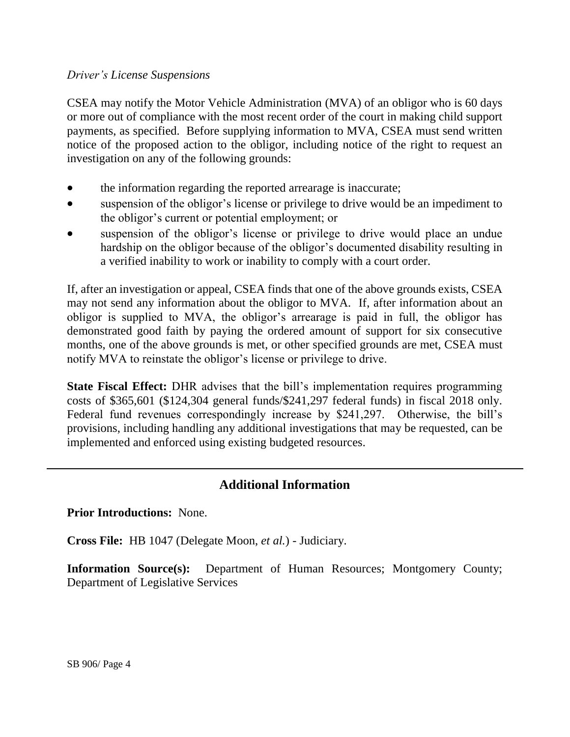#### *Driver's License Suspensions*

CSEA may notify the Motor Vehicle Administration (MVA) of an obligor who is 60 days or more out of compliance with the most recent order of the court in making child support payments, as specified. Before supplying information to MVA, CSEA must send written notice of the proposed action to the obligor, including notice of the right to request an investigation on any of the following grounds:

- the information regarding the reported arrearage is inaccurate;
- suspension of the obligor's license or privilege to drive would be an impediment to the obligor's current or potential employment; or
- suspension of the obligor's license or privilege to drive would place an undue hardship on the obligor because of the obligor's documented disability resulting in a verified inability to work or inability to comply with a court order.

If, after an investigation or appeal, CSEA finds that one of the above grounds exists, CSEA may not send any information about the obligor to MVA. If, after information about an obligor is supplied to MVA, the obligor's arrearage is paid in full, the obligor has demonstrated good faith by paying the ordered amount of support for six consecutive months, one of the above grounds is met, or other specified grounds are met, CSEA must notify MVA to reinstate the obligor's license or privilege to drive.

**State Fiscal Effect:** DHR advises that the bill's implementation requires programming costs of \$365,601 (\$124,304 general funds/\$241,297 federal funds) in fiscal 2018 only. Federal fund revenues correspondingly increase by \$241,297. Otherwise, the bill's provisions, including handling any additional investigations that may be requested, can be implemented and enforced using existing budgeted resources.

## **Additional Information**

**Prior Introductions:** None.

**Cross File:** HB 1047 (Delegate Moon, *et al.*) - Judiciary.

**Information Source(s):** Department of Human Resources; Montgomery County; Department of Legislative Services